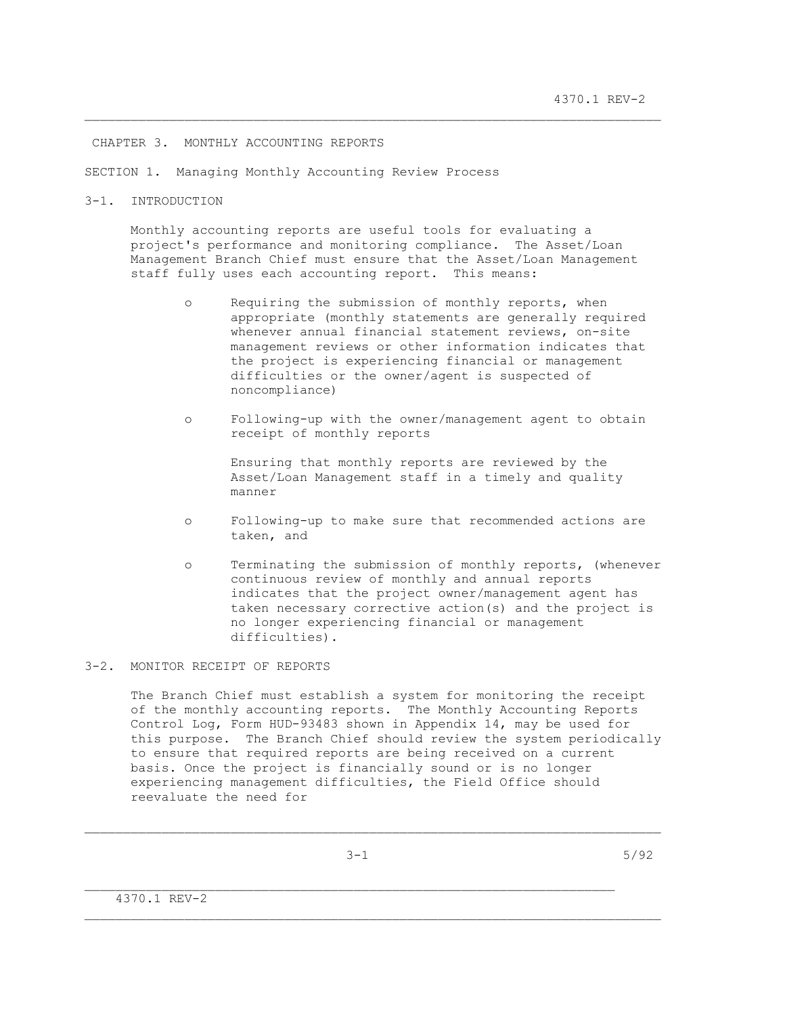# CHAPTER 3. MONTHLY ACCOUNTING REPORTS

SECTION 1. Managing Monthly Accounting Review Process

3-1. INTRODUCTION

 Monthly accounting reports are useful tools for evaluating a project's performance and monitoring compliance. The Asset/Loan Management Branch Chief must ensure that the Asset/Loan Management staff fully uses each accounting report. This means:

\_\_\_\_\_\_\_\_\_\_\_\_\_\_\_\_\_\_\_\_\_\_\_\_\_\_\_\_\_\_\_\_\_\_\_\_\_\_\_\_\_\_\_\_\_\_\_\_\_\_\_\_\_\_\_\_\_\_\_\_\_\_\_\_\_\_\_\_\_\_\_\_\_\_\_

- o Requiring the submission of monthly reports, when appropriate (monthly statements are generally required whenever annual financial statement reviews, on-site management reviews or other information indicates that the project is experiencing financial or management difficulties or the owner/agent is suspected of noncompliance)
- o Following-up with the owner/management agent to obtain receipt of monthly reports

 Ensuring that monthly reports are reviewed by the Asset/Loan Management staff in a timely and quality manner

- o Following-up to make sure that recommended actions are taken, and
- o Terminating the submission of monthly reports, (whenever continuous review of monthly and annual reports indicates that the project owner/management agent has taken necessary corrective action(s) and the project is no longer experiencing financial or management difficulties).

## 3-2. MONITOR RECEIPT OF REPORTS

 The Branch Chief must establish a system for monitoring the receipt of the monthly accounting reports. The Monthly Accounting Reports Control Log, Form HUD-93483 shown in Appendix 14, may be used for this purpose. The Branch Chief should review the system periodically to ensure that required reports are being received on a current basis. Once the project is financially sound or is no longer experiencing management difficulties, the Field Office should reevaluate the need for

\_\_\_\_\_\_\_\_\_\_\_\_\_\_\_\_\_\_\_\_\_\_\_\_\_\_\_\_\_\_\_\_\_\_\_\_\_\_\_\_\_\_\_\_\_\_\_\_\_\_\_\_\_\_\_\_\_\_\_\_\_\_\_\_\_\_\_\_\_\_\_\_\_\_\_

 $3-1$  5/92

4370.1 REV-2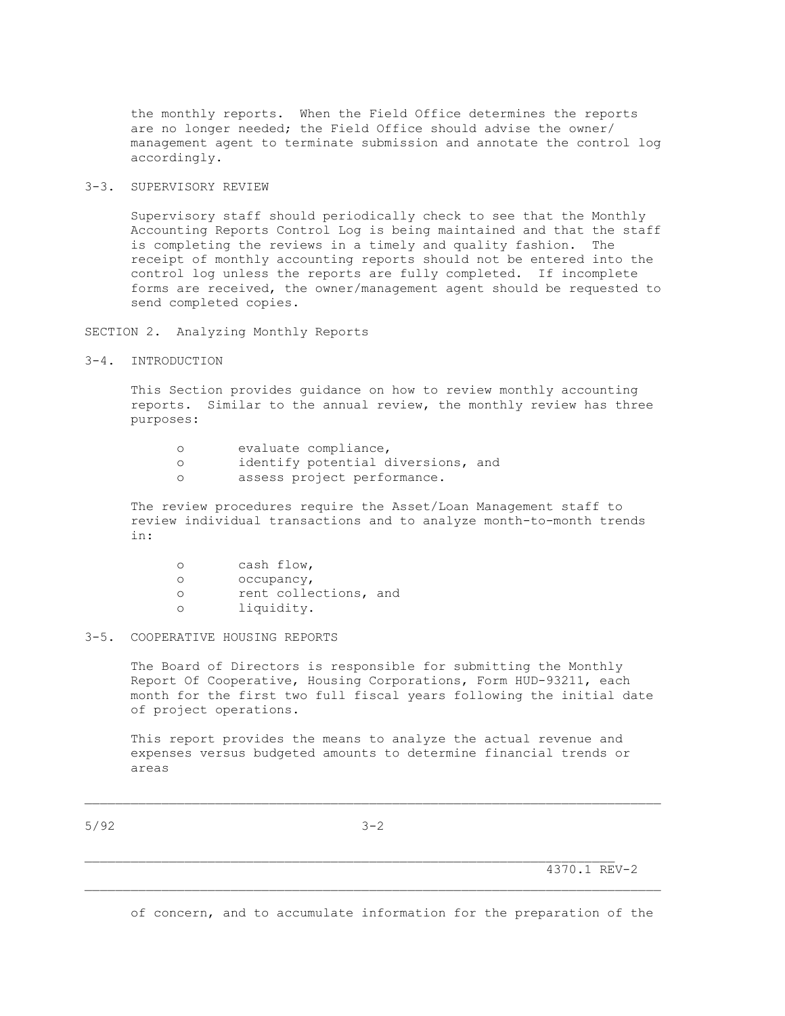the monthly reports. When the Field Office determines the reports are no longer needed; the Field Office should advise the owner/ management agent to terminate submission and annotate the control log accordingly.

#### 3-3. SUPERVISORY REVIEW

 Supervisory staff should periodically check to see that the Monthly Accounting Reports Control Log is being maintained and that the staff is completing the reviews in a timely and quality fashion. The receipt of monthly accounting reports should not be entered into the control log unless the reports are fully completed. If incomplete forms are received, the owner/management agent should be requested to send completed copies.

SECTION 2. Analyzing Monthly Reports

3-4. INTRODUCTION

 This Section provides guidance on how to review monthly accounting reports. Similar to the annual review, the monthly review has three purposes:

- o evaluate compliance,
- o identify potential diversions, and
- o assess project performance.

 The review procedures require the Asset/Loan Management staff to review individual transactions and to analyze month-to-month trends in:

- o cash flow,
- o occupancy,
- o rent collections, and
- o liquidity.

### 3-5. COOPERATIVE HOUSING REPORTS

 The Board of Directors is responsible for submitting the Monthly Report Of Cooperative, Housing Corporations, Form HUD-93211, each month for the first two full fiscal years following the initial date of project operations.

 This report provides the means to analyze the actual revenue and expenses versus budgeted amounts to determine financial trends or areas

 $\mathcal{L}_\text{max}$ 

4370.1 REV-2

of concern, and to accumulate information for the preparation of the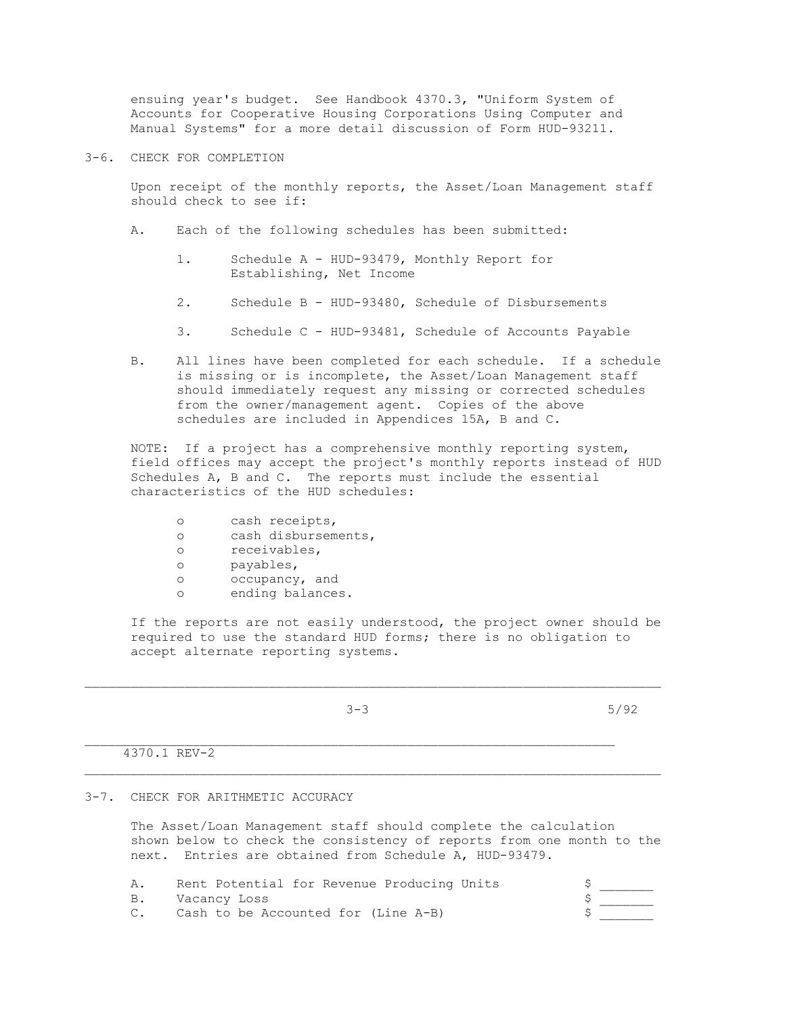ensuing year's budget. See Handbook 4370.3, "Uniform System of Accounts for Cooperative Housing Corporations Using Computer and Manual Systems" for a more detail discussion of Form HUD-93211.

3-6. CHECK FOR COMPLETION

 Upon receipt of the monthly reports, the Asset/Loan Management staff should check to see if:

- A. Each of the following schedules has been submitted:
	- 1. Schedule A HUD-93479, Monthly Report for Establishing, Net Income
	- 2. Schedule B HUD-93480, Schedule of Disbursements
	- 3. Schedule C HUD-93481, Schedule of Accounts Payable
- B. All lines have been completed for each schedule. If a schedule is missing or is incomplete, the Asset/Loan Management staff should immediately request any missing or corrected schedules from the owner/management agent. Copies of the above schedules are included in Appendices 15A, B and C.

 NOTE: If a project has a comprehensive monthly reporting system, field offices may accept the project's monthly reports instead of HUD Schedules A, B and C. The reports must include the essential characteristics of the HUD schedules:

- o cash receipts,
- o cash disbursements,
- o receivables,
- o payables,
- o occupancy, and
- o ending balances.

 If the reports are not easily understood, the project owner should be required to use the standard HUD forms; there is no obligation to accept alternate reporting systems.

\_\_\_\_\_\_\_\_\_\_\_\_\_\_\_\_\_\_\_\_\_\_\_\_\_\_\_\_\_\_\_\_\_\_\_\_\_\_\_\_\_\_\_\_\_\_\_\_\_\_\_\_\_\_\_\_\_\_\_\_\_\_\_\_\_\_\_\_\_\_\_\_\_\_\_

 $3-3$  5/92

4370.1 REV-2

## 3-7. CHECK FOR ARITHMETIC ACCURACY

 The Asset/Loan Management staff should complete the calculation shown below to check the consistency of reports from one month to the next. Entries are obtained from Schedule A, HUD-93479.

|    | Rent Potential for Revenue Producing Units |  |
|----|--------------------------------------------|--|
| В. | Vacancy Loss                               |  |
|    | Cash to be Accounted for (Line A-B)        |  |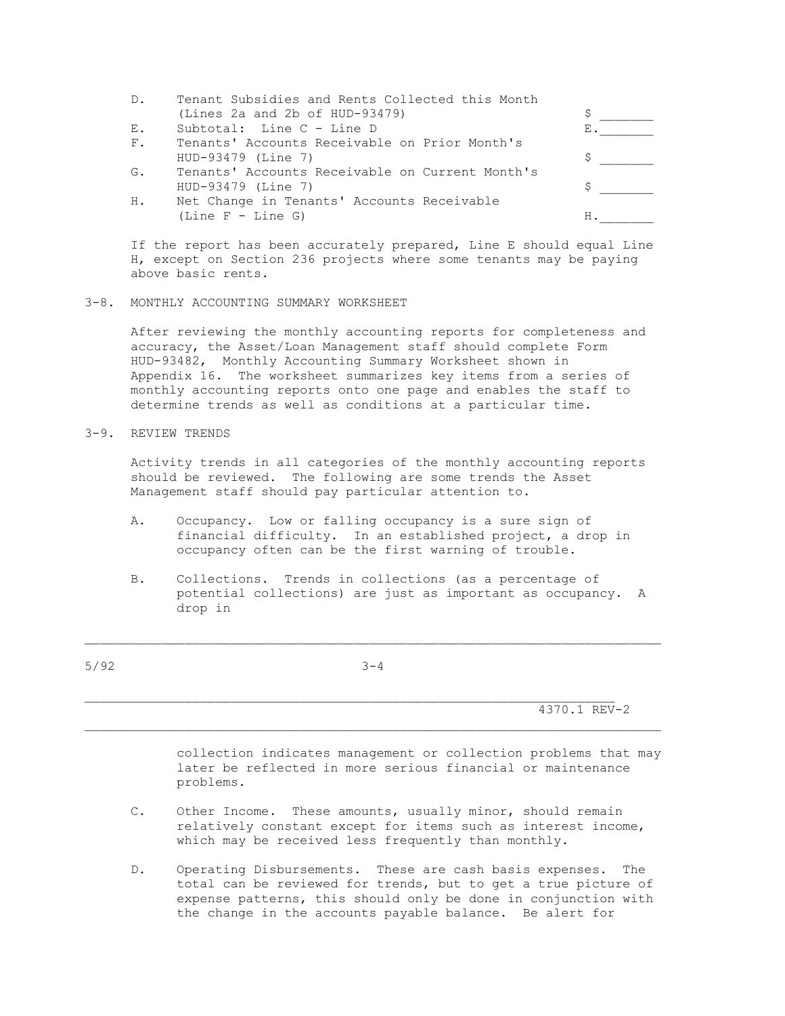| $D_{\bullet}$ | Tenant Subsidies and Rents Collected this Month |   |
|---------------|-------------------------------------------------|---|
|               | (Lines 2a and 2b of HUD-93479)                  |   |
| $E_{\rm \,B}$ | Subtotal: Line C - Line D                       |   |
| $F_{\infty}$  | Tenants' Accounts Receivable on Prior Month's   |   |
|               | HUD-93479 (Line 7)                              |   |
| G.            | Tenants' Accounts Receivable on Current Month's |   |
|               | HUD-93479 (Line 7)                              |   |
| Η.            | Net Change in Tenants' Accounts Receivable      |   |
|               | $(Line F - Line G)$                             | H |
|               |                                                 |   |

 If the report has been accurately prepared, Line E should equal Line H, except on Section 236 projects where some tenants may be paying above basic rents.

3-8. MONTHLY ACCOUNTING SUMMARY WORKSHEET

 After reviewing the monthly accounting reports for completeness and accuracy, the Asset/Loan Management staff should complete Form HUD-93482, Monthly Accounting Summary Worksheet shown in Appendix 16. The worksheet summarizes key items from a series of monthly accounting reports onto one page and enables the staff to determine trends as well as conditions at a particular time.

3-9. REVIEW TRENDS

 Activity trends in all categories of the monthly accounting reports should be reviewed. The following are some trends the Asset Management staff should pay particular attention to.

- A. Occupancy. Low or falling occupancy is a sure sign of financial difficulty. In an established project, a drop in occupancy often can be the first warning of trouble.
- B. Collections. Trends in collections (as a percentage of potential collections) are just as important as occupancy. A drop in

 $5/92$  3-4

\_\_\_\_\_\_\_\_\_\_\_\_\_\_\_\_\_\_\_\_\_\_\_\_\_\_\_\_\_\_\_\_\_\_\_\_\_\_\_\_\_\_\_\_\_\_\_\_\_\_\_\_\_\_\_\_\_\_\_\_\_\_\_\_\_\_\_\_\_\_\_\_\_\_\_

4370.1 REV-2

 collection indicates management or collection problems that may later be reflected in more serious financial or maintenance problems.

- C. Other Income. These amounts, usually minor, should remain relatively constant except for items such as interest income, which may be received less frequently than monthly.
- D. Operating Disbursements. These are cash basis expenses. The total can be reviewed for trends, but to get a true picture of expense patterns, this should only be done in conjunction with the change in the accounts payable balance. Be alert for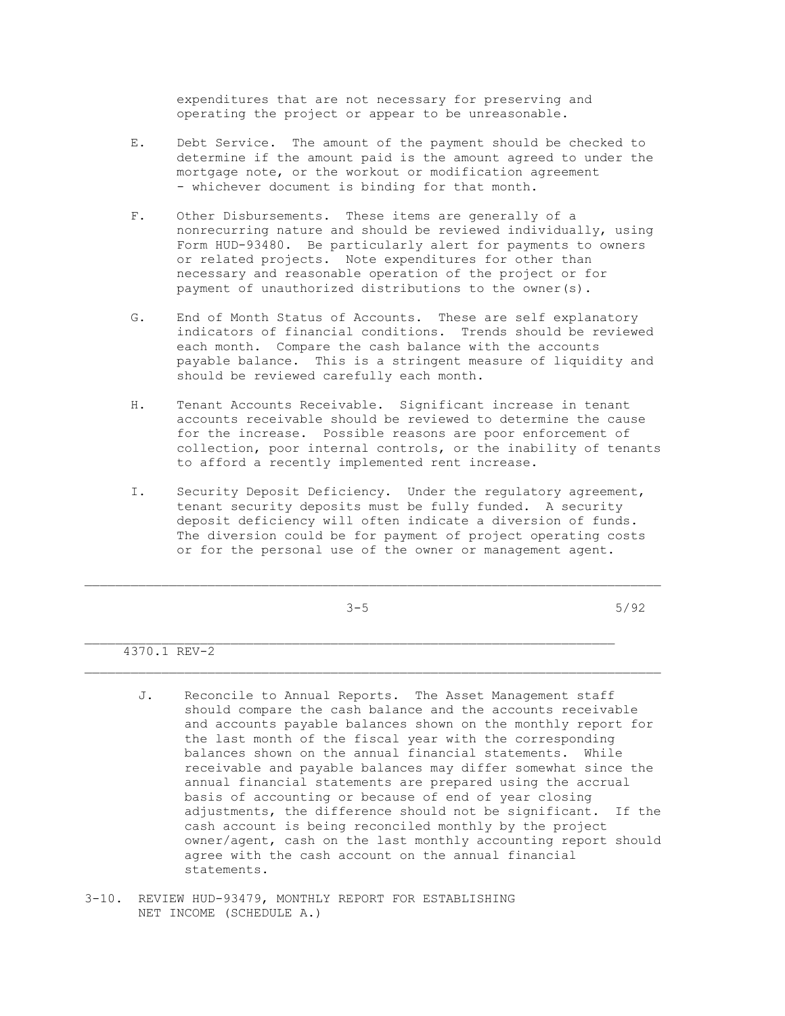expenditures that are not necessary for preserving and operating the project or appear to be unreasonable.

- E. Debt Service. The amount of the payment should be checked to determine if the amount paid is the amount agreed to under the mortgage note, or the workout or modification agreement - whichever document is binding for that month.
- F. Other Disbursements. These items are generally of a nonrecurring nature and should be reviewed individually, using Form HUD-93480. Be particularly alert for payments to owners or related projects. Note expenditures for other than necessary and reasonable operation of the project or for payment of unauthorized distributions to the owner(s).
- G. End of Month Status of Accounts. These are self explanatory indicators of financial conditions. Trends should be reviewed each month. Compare the cash balance with the accounts payable balance. This is a stringent measure of liquidity and should be reviewed carefully each month.
- H. Tenant Accounts Receivable. Significant increase in tenant accounts receivable should be reviewed to determine the cause for the increase. Possible reasons are poor enforcement of collection, poor internal controls, or the inability of tenants to afford a recently implemented rent increase.
- I. Security Deposit Deficiency. Under the regulatory agreement, tenant security deposits must be fully funded. A security deposit deficiency will often indicate a diversion of funds. The diversion could be for payment of project operating costs or for the personal use of the owner or management agent.

|              | $3 - 5$ | 5/92 |
|--------------|---------|------|
|              |         |      |
| 4370.1 REV-2 |         |      |

 $\mathcal{L}_\text{max}$ 

- J. Reconcile to Annual Reports. The Asset Management staff should compare the cash balance and the accounts receivable and accounts payable balances shown on the monthly report for the last month of the fiscal year with the corresponding balances shown on the annual financial statements. While receivable and payable balances may differ somewhat since the annual financial statements are prepared using the accrual basis of accounting or because of end of year closing adjustments, the difference should not be significant. If the cash account is being reconciled monthly by the project owner/agent, cash on the last monthly accounting report should agree with the cash account on the annual financial statements.
- 3-10. REVIEW HUD-93479, MONTHLY REPORT FOR ESTABLISHING NET INCOME (SCHEDULE A.)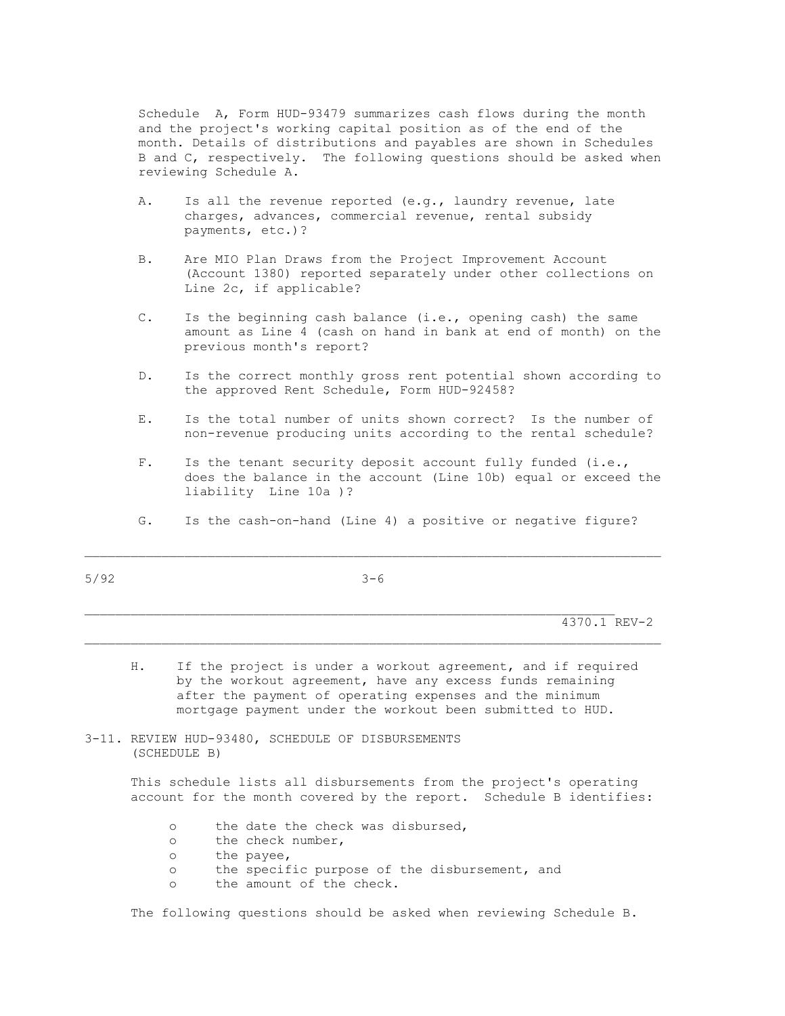Schedule A, Form HUD-93479 summarizes cash flows during the month and the project's working capital position as of the end of the month. Details of distributions and payables are shown in Schedules B and C, respectively. The following questions should be asked when reviewing Schedule A.

- A. Is all the revenue reported (e.g., laundry revenue, late charges, advances, commercial revenue, rental subsidy payments, etc.)?
- B. Are MIO Plan Draws from the Project Improvement Account (Account 1380) reported separately under other collections on Line 2c, if applicable?
- C. Is the beginning cash balance (i.e., opening cash) the same amount as Line 4 (cash on hand in bank at end of month) on the previous month's report?
- D. Is the correct monthly gross rent potential shown according to the approved Rent Schedule, Form HUD-92458?
- E. Is the total number of units shown correct? Is the number of non-revenue producing units according to the rental schedule?
- F. Is the tenant security deposit account fully funded (i.e., does the balance in the account (Line 10b) equal or exceed the liability Line 10a )?
- G. Is the cash-on-hand (Line 4) a positive or negative figure?

 $5/92$  3-6

\_\_\_\_\_\_\_\_\_\_\_\_\_\_\_\_\_\_\_\_\_\_\_\_\_\_\_\_\_\_\_\_\_\_\_\_\_\_\_\_\_\_\_\_\_\_\_\_\_\_\_\_\_\_\_\_\_\_\_\_\_\_\_\_\_\_\_\_\_\_\_\_\_\_\_

\_\_\_\_\_\_\_\_\_\_\_\_\_\_\_\_\_\_\_\_\_\_\_\_\_\_\_\_\_\_\_\_\_\_\_\_\_\_\_\_\_\_\_\_\_\_\_\_\_\_\_\_\_\_\_\_\_\_\_\_\_\_\_\_\_\_\_\_\_

4370.1 REV-2

- H. If the project is under a workout agreement, and if required by the workout agreement, have any excess funds remaining after the payment of operating expenses and the minimum mortgage payment under the workout been submitted to HUD.
- 3-11. REVIEW HUD-93480, SCHEDULE OF DISBURSEMENTS (SCHEDULE B)

 This schedule lists all disbursements from the project's operating account for the month covered by the report. Schedule B identifies:

- o the date the check was disbursed,
- o the check number,
- o the payee,
- o the specific purpose of the disbursement, and
- o the amount of the check.

The following questions should be asked when reviewing Schedule B.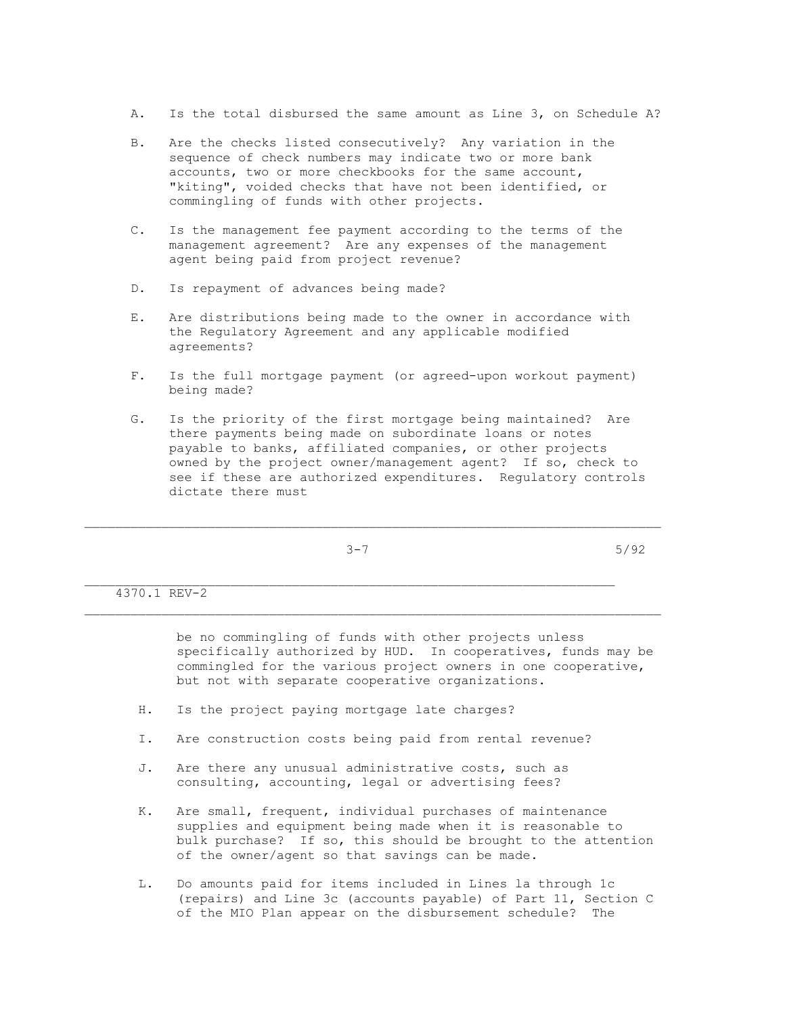- A. Is the total disbursed the same amount as Line 3, on Schedule A?
- B. Are the checks listed consecutively? Any variation in the sequence of check numbers may indicate two or more bank accounts, two or more checkbooks for the same account, "kiting", voided checks that have not been identified, or commingling of funds with other projects.
- C. Is the management fee payment according to the terms of the management agreement? Are any expenses of the management agent being paid from project revenue?
- D. Is repayment of advances being made?
- E. Are distributions being made to the owner in accordance with the Regulatory Agreement and any applicable modified agreements?
- F. Is the full mortgage payment (or agreed-upon workout payment) being made?
- G. Is the priority of the first mortgage being maintained? Are there payments being made on subordinate loans or notes payable to banks, affiliated companies, or other projects owned by the project owner/management agent? If so, check to see if these are authorized expenditures. Regulatory controls dictate there must

 $\mathcal{L}_\text{max}$ 

\_\_\_\_\_\_\_\_\_\_\_\_\_\_\_\_\_\_\_\_\_\_\_\_\_\_\_\_\_\_\_\_\_\_\_\_\_\_\_\_\_\_\_\_\_\_\_\_\_\_\_\_\_\_\_\_\_\_\_\_\_\_\_\_\_\_\_\_\_\_\_\_\_\_\_

 $3-7$  5/92

4370.1 REV-2

 be no commingling of funds with other projects unless specifically authorized by HUD. In cooperatives, funds may be commingled for the various project owners in one cooperative, but not with separate cooperative organizations.

- H. Is the project paying mortgage late charges?
- I. Are construction costs being paid from rental revenue?
- J. Are there any unusual administrative costs, such as consulting, accounting, legal or advertising fees?
- K. Are small, frequent, individual purchases of maintenance supplies and equipment being made when it is reasonable to bulk purchase? If so, this should be brought to the attention of the owner/agent so that savings can be made.
- L. Do amounts paid for items included in Lines la through 1c (repairs) and Line 3c (accounts payable) of Part 11, Section C of the MIO Plan appear on the disbursement schedule? The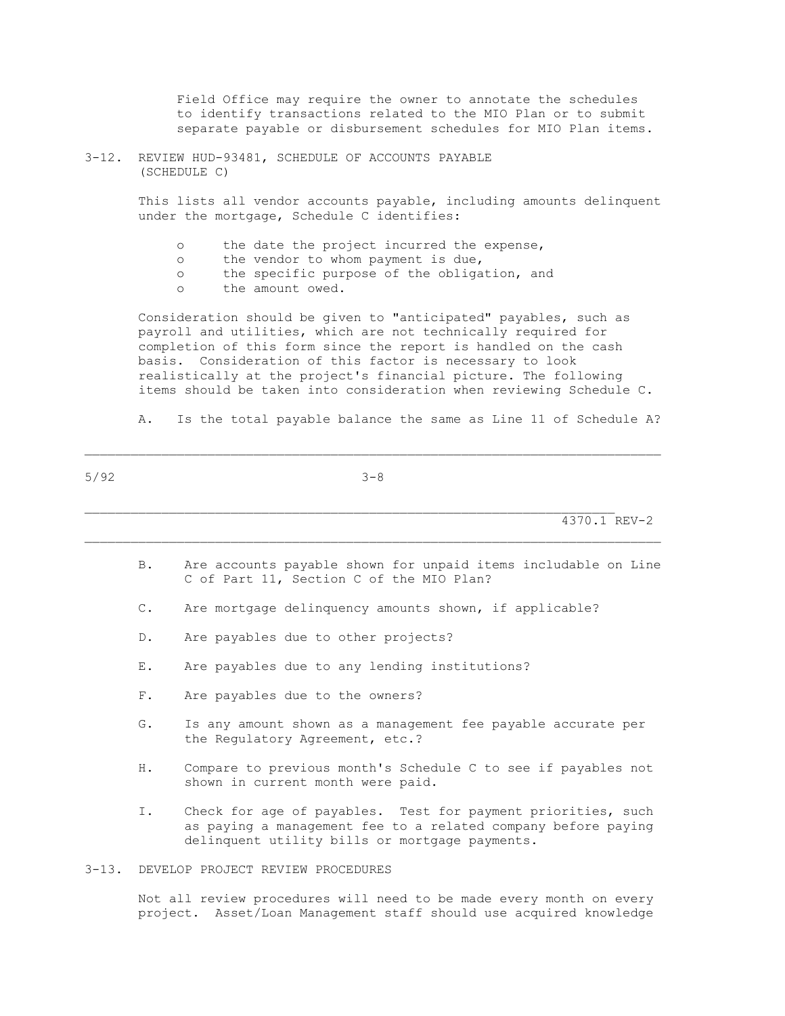Field Office may require the owner to annotate the schedules to identify transactions related to the MIO Plan or to submit separate payable or disbursement schedules for MIO Plan items.

3-12. REVIEW HUD-93481, SCHEDULE OF ACCOUNTS PAYABLE (SCHEDULE C)

> This lists all vendor accounts payable, including amounts delinquent under the mortgage, Schedule C identifies:

- o the date the project incurred the expense,
- o the vendor to whom payment is due,
- o the specific purpose of the obligation, and
- o the amount owed.

 Consideration should be given to "anticipated" payables, such as payroll and utilities, which are not technically required for completion of this form since the report is handled on the cash basis. Consideration of this factor is necessary to look realistically at the project's financial picture. The following items should be taken into consideration when reviewing Schedule C.

A. Is the total payable balance the same as Line 11 of Schedule A?

| 5/92       |                                                                                                                                           | $3 - 8$                                                                                                                                                                         |  |
|------------|-------------------------------------------------------------------------------------------------------------------------------------------|---------------------------------------------------------------------------------------------------------------------------------------------------------------------------------|--|
|            |                                                                                                                                           | 4370.1 REV-2                                                                                                                                                                    |  |
|            | Β.                                                                                                                                        | Are accounts payable shown for unpaid items includable on Line<br>C of Part 11, Section C of the MIO Plan?                                                                      |  |
|            | $\mathsf{C}$ .                                                                                                                            | Are mortgage delinquency amounts shown, if applicable?                                                                                                                          |  |
|            | D.                                                                                                                                        | Are payables due to other projects?                                                                                                                                             |  |
|            | Ε.                                                                                                                                        | Are payables due to any lending institutions?                                                                                                                                   |  |
|            | $F$ .                                                                                                                                     | Are payables due to the owners?                                                                                                                                                 |  |
|            | G.                                                                                                                                        | Is any amount shown as a management fee payable accurate per<br>the Regulatory Agreement, etc.?                                                                                 |  |
|            | Η.                                                                                                                                        | Compare to previous month's Schedule C to see if payables not<br>shown in current month were paid.                                                                              |  |
|            | Ι.                                                                                                                                        | Check for age of payables. Test for payment priorities, such<br>as paying a management fee to a related company before paying<br>delinquent utility bills or mortgage payments. |  |
| $3 - 13$ . |                                                                                                                                           | DEVELOP PROJECT REVIEW PROCEDURES                                                                                                                                               |  |
|            | Not all review procedures will need to be made every month on every<br>project. Asset/Loan Management staff should use acquired knowledge |                                                                                                                                                                                 |  |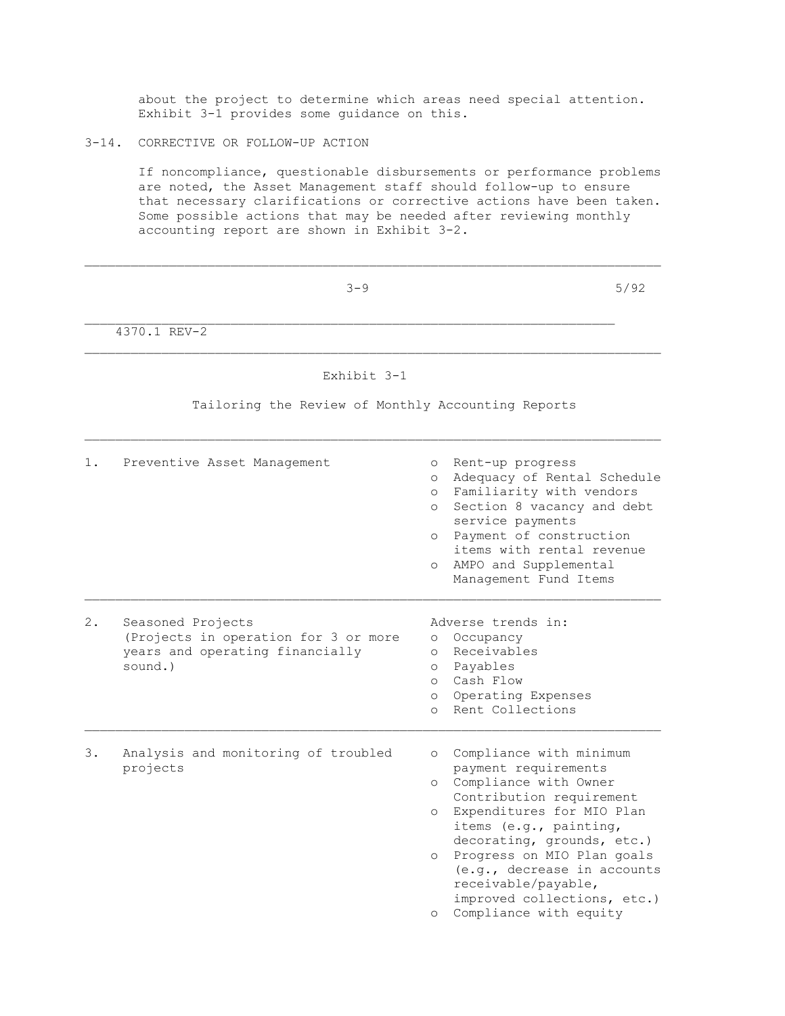about the project to determine which areas need special attention. Exhibit 3-1 provides some guidance on this.

3-14. CORRECTIVE OR FOLLOW-UP ACTION

 If noncompliance, questionable disbursements or performance problems are noted, the Asset Management staff should follow-up to ensure that necessary clarifications or corrective actions have been taken. Some possible actions that may be needed after reviewing monthly accounting report are shown in Exhibit 3-2.

|    | $3 - 9$                                                                                                 |                                                                | 5/92                                                                                                                                                                                                                                                                                                                                   |
|----|---------------------------------------------------------------------------------------------------------|----------------------------------------------------------------|----------------------------------------------------------------------------------------------------------------------------------------------------------------------------------------------------------------------------------------------------------------------------------------------------------------------------------------|
|    | 4370.1 REV-2                                                                                            |                                                                |                                                                                                                                                                                                                                                                                                                                        |
|    | Exhibit 3-1                                                                                             |                                                                |                                                                                                                                                                                                                                                                                                                                        |
|    | Tailoring the Review of Monthly Accounting Reports                                                      |                                                                |                                                                                                                                                                                                                                                                                                                                        |
| 1. | Preventive Asset Management                                                                             | $\circ$<br>$\circ$<br>$\circ$<br>$\circ$<br>$\circ$<br>$\circ$ | Rent-up progress<br>Adequacy of Rental Schedule<br>Familiarity with vendors<br>Section 8 vacancy and debt<br>service payments<br>Payment of construction<br>items with rental revenue<br>AMPO and Supplemental<br>Management Fund Items                                                                                                |
| 2. | Seasoned Projects<br>(Projects in operation for 3 or more<br>years and operating financially<br>sound.) | $\circ$<br>$\circ$<br>$\circ$<br>$\circ$<br>$\circ$            | Adverse trends in:<br>Occupancy<br>Receivables<br>Payables<br>o Cash Flow<br>Operating Expenses<br>Rent Collections                                                                                                                                                                                                                    |
| З. | Analysis and monitoring of troubled<br>projects                                                         | $\circ$<br>$\circ$<br>$\circ$<br>$\circ$<br>$\circ$            | Compliance with minimum<br>payment requirements<br>Compliance with Owner<br>Contribution requirement<br>Expenditures for MIO Plan<br>items (e.g., painting,<br>decorating, grounds, etc.)<br>Progress on MIO Plan goals<br>(e.g., decrease in accounts<br>receivable/payable,<br>improved collections, etc.)<br>Compliance with equity |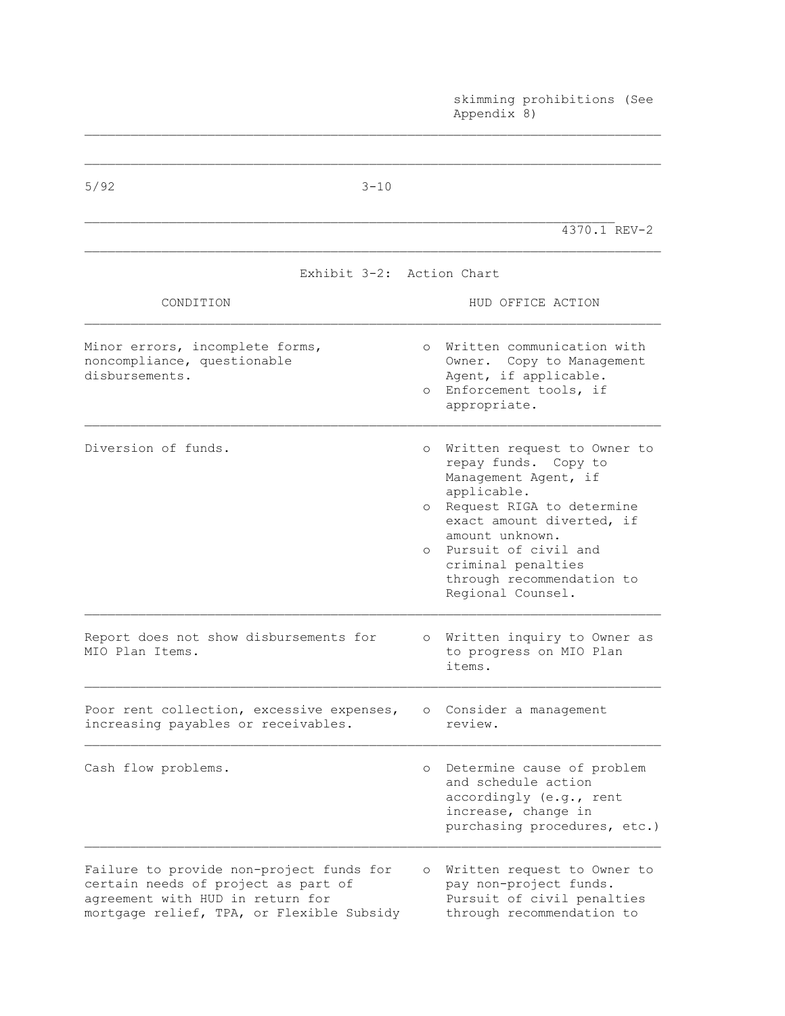skimming prohibitions (See Appendix 8)

| 5/92<br>$3 - 10$                                                                                                                                                 |                                                                                                                                                                                                                                                                                                          |
|------------------------------------------------------------------------------------------------------------------------------------------------------------------|----------------------------------------------------------------------------------------------------------------------------------------------------------------------------------------------------------------------------------------------------------------------------------------------------------|
|                                                                                                                                                                  | 4370.1 REV-2                                                                                                                                                                                                                                                                                             |
|                                                                                                                                                                  | Exhibit 3-2: Action Chart                                                                                                                                                                                                                                                                                |
| CONDITION                                                                                                                                                        | HUD OFFICE ACTION                                                                                                                                                                                                                                                                                        |
| Minor errors, incomplete forms,<br>noncompliance, questionable<br>disbursements.                                                                                 | Written communication with<br>$\circ$<br>Copy to Management<br>Owner.<br>Agent, if applicable.<br>Enforcement tools, if<br>$\circ$<br>appropriate.                                                                                                                                                       |
| Diversion of funds.                                                                                                                                              | Written request to Owner to<br>$\circ$<br>repay funds. Copy to<br>Management Agent, if<br>applicable.<br>Request RIGA to determine<br>$\circ$<br>exact amount diverted, if<br>amount unknown.<br>Pursuit of civil and<br>$\circ$<br>criminal penalties<br>through recommendation to<br>Regional Counsel. |
| Report does not show disbursements for<br>MIO Plan Items.                                                                                                        | Written inquiry to Owner as<br>$\circ$<br>to progress on MIO Plan<br>items.                                                                                                                                                                                                                              |
| Poor rent collection, excessive expenses,<br>increasing payables or receivables.                                                                                 | Consider a management<br>$\circ$<br>review.                                                                                                                                                                                                                                                              |
| Cash flow problems.                                                                                                                                              | Determine cause of problem<br>$\circ$<br>and schedule action<br>accordingly (e.g., rent<br>increase, change in<br>purchasing procedures, etc.)                                                                                                                                                           |
| Failure to provide non-project funds for<br>certain needs of project as part of<br>agreement with HUD in return for<br>mortgage relief, TPA, or Flexible Subsidy | Written request to Owner to<br>$\circ$<br>pay non-project funds.<br>Pursuit of civil penalties<br>through recommendation to                                                                                                                                                                              |